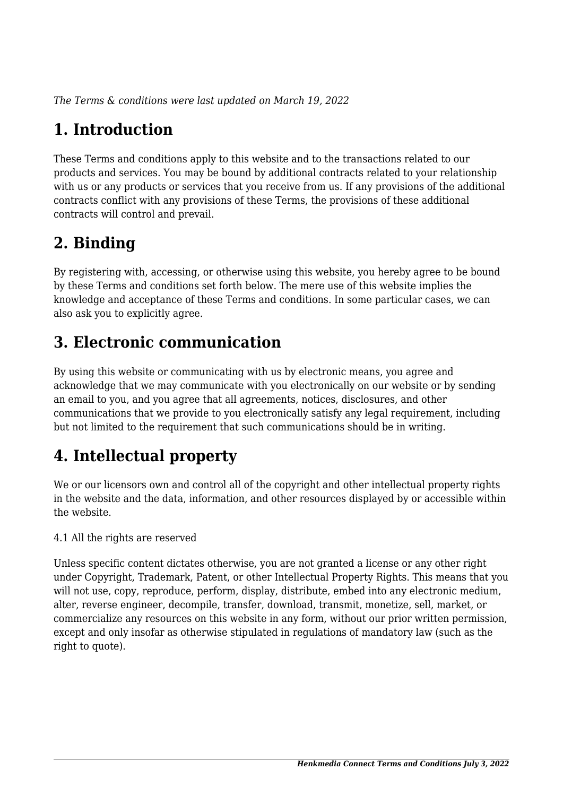*The Terms & conditions were last updated on March 19, 2022*

# **1. Introduction**

These Terms and conditions apply to this website and to the transactions related to our products and services. You may be bound by additional contracts related to your relationship with us or any products or services that you receive from us. If any provisions of the additional contracts conflict with any provisions of these Terms, the provisions of these additional contracts will control and prevail.

# **2. Binding**

By registering with, accessing, or otherwise using this website, you hereby agree to be bound by these Terms and conditions set forth below. The mere use of this website implies the knowledge and acceptance of these Terms and conditions. In some particular cases, we can also ask you to explicitly agree.

# **3. Electronic communication**

By using this website or communicating with us by electronic means, you agree and acknowledge that we may communicate with you electronically on our website or by sending an email to you, and you agree that all agreements, notices, disclosures, and other communications that we provide to you electronically satisfy any legal requirement, including but not limited to the requirement that such communications should be in writing.

# **4. Intellectual property**

We or our licensors own and control all of the copyright and other intellectual property rights in the website and the data, information, and other resources displayed by or accessible within the website.

4.1 All the rights are reserved

Unless specific content dictates otherwise, you are not granted a license or any other right under Copyright, Trademark, Patent, or other Intellectual Property Rights. This means that you will not use, copy, reproduce, perform, display, distribute, embed into any electronic medium, alter, reverse engineer, decompile, transfer, download, transmit, monetize, sell, market, or commercialize any resources on this website in any form, without our prior written permission, except and only insofar as otherwise stipulated in regulations of mandatory law (such as the right to quote).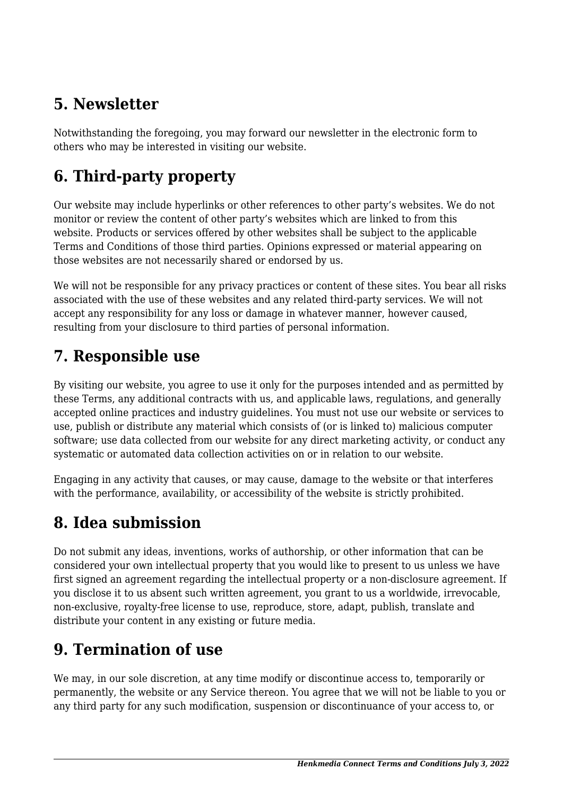# **5. Newsletter**

Notwithstanding the foregoing, you may forward our newsletter in the electronic form to others who may be interested in visiting our website.

# **6. Third-party property**

Our website may include hyperlinks or other references to other party's websites. We do not monitor or review the content of other party's websites which are linked to from this website. Products or services offered by other websites shall be subject to the applicable Terms and Conditions of those third parties. Opinions expressed or material appearing on those websites are not necessarily shared or endorsed by us.

We will not be responsible for any privacy practices or content of these sites. You bear all risks associated with the use of these websites and any related third-party services. We will not accept any responsibility for any loss or damage in whatever manner, however caused, resulting from your disclosure to third parties of personal information.

### **7. Responsible use**

By visiting our website, you agree to use it only for the purposes intended and as permitted by these Terms, any additional contracts with us, and applicable laws, regulations, and generally accepted online practices and industry guidelines. You must not use our website or services to use, publish or distribute any material which consists of (or is linked to) malicious computer software; use data collected from our website for any direct marketing activity, or conduct any systematic or automated data collection activities on or in relation to our website.

Engaging in any activity that causes, or may cause, damage to the website or that interferes with the performance, availability, or accessibility of the website is strictly prohibited.

# **8. Idea submission**

Do not submit any ideas, inventions, works of authorship, or other information that can be considered your own intellectual property that you would like to present to us unless we have first signed an agreement regarding the intellectual property or a non-disclosure agreement. If you disclose it to us absent such written agreement, you grant to us a worldwide, irrevocable, non-exclusive, royalty-free license to use, reproduce, store, adapt, publish, translate and distribute your content in any existing or future media.

# **9. Termination of use**

We may, in our sole discretion, at any time modify or discontinue access to, temporarily or permanently, the website or any Service thereon. You agree that we will not be liable to you or any third party for any such modification, suspension or discontinuance of your access to, or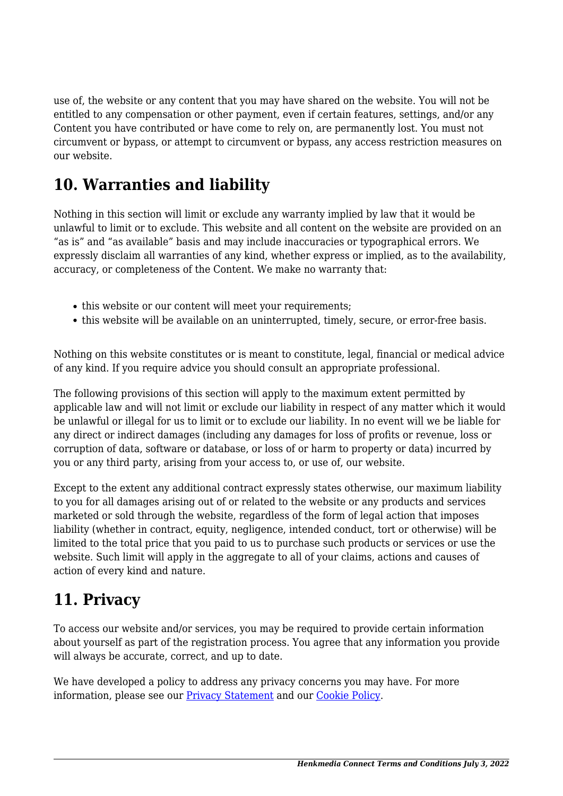use of, the website or any content that you may have shared on the website. You will not be entitled to any compensation or other payment, even if certain features, settings, and/or any Content you have contributed or have come to rely on, are permanently lost. You must not circumvent or bypass, or attempt to circumvent or bypass, any access restriction measures on our website.

### **10. Warranties and liability**

Nothing in this section will limit or exclude any warranty implied by law that it would be unlawful to limit or to exclude. This website and all content on the website are provided on an "as is" and "as available" basis and may include inaccuracies or typographical errors. We expressly disclaim all warranties of any kind, whether express or implied, as to the availability, accuracy, or completeness of the Content. We make no warranty that:

- this website or our content will meet your requirements;
- this website will be available on an uninterrupted, timely, secure, or error-free basis.

Nothing on this website constitutes or is meant to constitute, legal, financial or medical advice of any kind. If you require advice you should consult an appropriate professional.

The following provisions of this section will apply to the maximum extent permitted by applicable law and will not limit or exclude our liability in respect of any matter which it would be unlawful or illegal for us to limit or to exclude our liability. In no event will we be liable for any direct or indirect damages (including any damages for loss of profits or revenue, loss or corruption of data, software or database, or loss of or harm to property or data) incurred by you or any third party, arising from your access to, or use of, our website.

Except to the extent any additional contract expressly states otherwise, our maximum liability to you for all damages arising out of or related to the website or any products and services marketed or sold through the website, regardless of the form of legal action that imposes liability (whether in contract, equity, negligence, intended conduct, tort or otherwise) will be limited to the total price that you paid to us to purchase such products or services or use the website. Such limit will apply in the aggregate to all of your claims, actions and causes of action of every kind and nature.

### **11. Privacy**

To access our website and/or services, you may be required to provide certain information about yourself as part of the registration process. You agree that any information you provide will always be accurate, correct, and up to date.

We have developed a policy to address any privacy concerns you may have. For more information, please see our **Privacy Statement** and our **Cookie Policy**.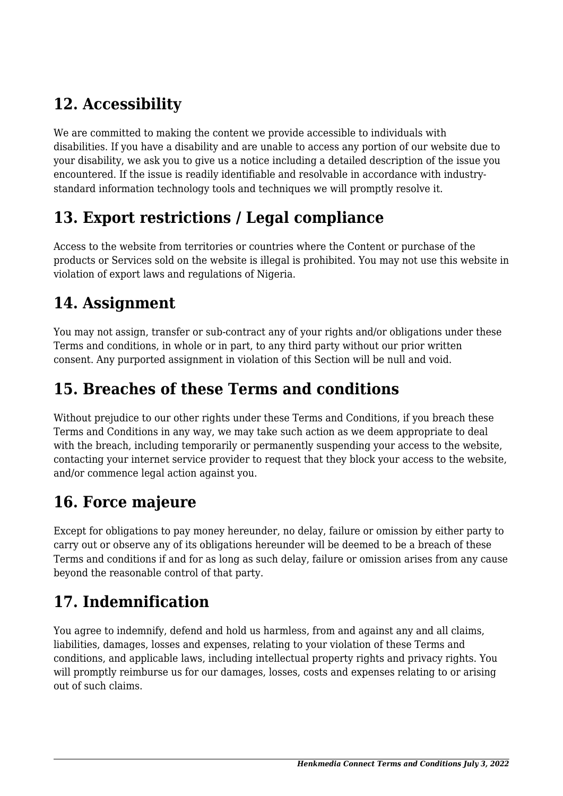# **12. Accessibility**

We are committed to making the content we provide accessible to individuals with disabilities. If you have a disability and are unable to access any portion of our website due to your disability, we ask you to give us a notice including a detailed description of the issue you encountered. If the issue is readily identifiable and resolvable in accordance with industrystandard information technology tools and techniques we will promptly resolve it.

### **13. Export restrictions / Legal compliance**

Access to the website from territories or countries where the Content or purchase of the products or Services sold on the website is illegal is prohibited. You may not use this website in violation of export laws and regulations of Nigeria.

### **14. Assignment**

You may not assign, transfer or sub-contract any of your rights and/or obligations under these Terms and conditions, in whole or in part, to any third party without our prior written consent. Any purported assignment in violation of this Section will be null and void.

### **15. Breaches of these Terms and conditions**

Without prejudice to our other rights under these Terms and Conditions, if you breach these Terms and Conditions in any way, we may take such action as we deem appropriate to deal with the breach, including temporarily or permanently suspending your access to the website, contacting your internet service provider to request that they block your access to the website, and/or commence legal action against you.

# **16. Force majeure**

Except for obligations to pay money hereunder, no delay, failure or omission by either party to carry out or observe any of its obligations hereunder will be deemed to be a breach of these Terms and conditions if and for as long as such delay, failure or omission arises from any cause beyond the reasonable control of that party.

# **17. Indemnification**

You agree to indemnify, defend and hold us harmless, from and against any and all claims, liabilities, damages, losses and expenses, relating to your violation of these Terms and conditions, and applicable laws, including intellectual property rights and privacy rights. You will promptly reimburse us for our damages, losses, costs and expenses relating to or arising out of such claims.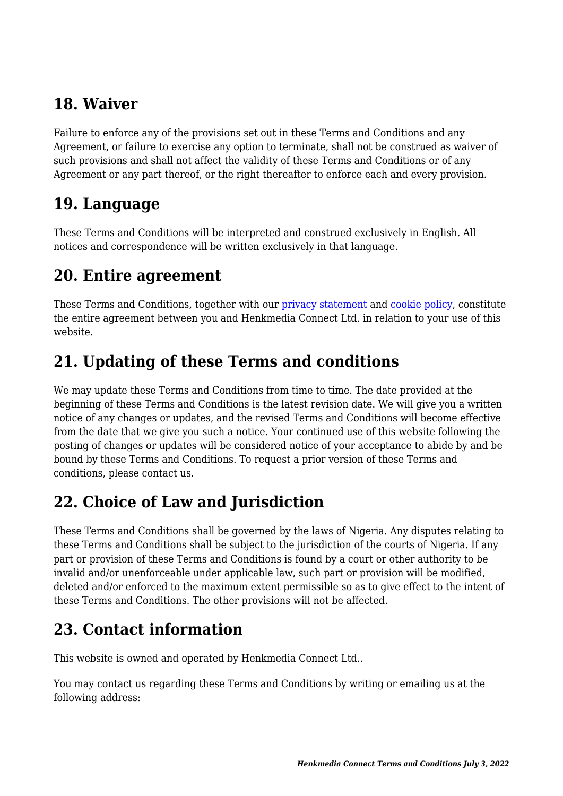### **18. Waiver**

Failure to enforce any of the provisions set out in these Terms and Conditions and any Agreement, or failure to exercise any option to terminate, shall not be construed as waiver of such provisions and shall not affect the validity of these Terms and Conditions or of any Agreement or any part thereof, or the right thereafter to enforce each and every provision.

### **19. Language**

These Terms and Conditions will be interpreted and construed exclusively in English. All notices and correspondence will be written exclusively in that language.

#### **20. Entire agreement**

These Terms and Conditions, together with our privacy statement and cookie policy, constitute the entire agreement between you and Henkmedia Connect Ltd. in relation to your use of this website.

# **21. Updating of these Terms and conditions**

We may update these Terms and Conditions from time to time. The date provided at the beginning of these Terms and Conditions is the latest revision date. We will give you a written notice of any changes or updates, and the revised Terms and Conditions will become effective from the date that we give you such a notice. Your continued use of this website following the posting of changes or updates will be considered notice of your acceptance to abide by and be bound by these Terms and Conditions. To request a prior version of these Terms and conditions, please contact us.

# **22. Choice of Law and Jurisdiction**

These Terms and Conditions shall be governed by the laws of Nigeria. Any disputes relating to these Terms and Conditions shall be subject to the jurisdiction of the courts of Nigeria. If any part or provision of these Terms and Conditions is found by a court or other authority to be invalid and/or unenforceable under applicable law, such part or provision will be modified, deleted and/or enforced to the maximum extent permissible so as to give effect to the intent of these Terms and Conditions. The other provisions will not be affected.

# **23. Contact information**

This website is owned and operated by Henkmedia Connect Ltd..

You may contact us regarding these Terms and Conditions by writing or emailing us at the following address: